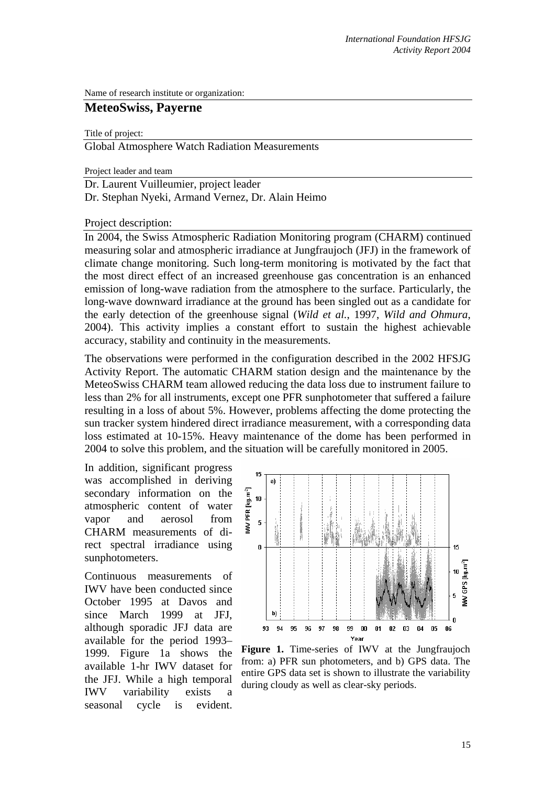Name of research institute or organization:

# **MeteoSwiss, Payerne**

Title of project:

Global Atmosphere Watch Radiation Measurements

Project leader and team

Dr. Laurent Vuilleumier, project leader Dr. Stephan Nyeki, Armand Vernez, Dr. Alain Heimo

Project description:

In 2004, the Swiss Atmospheric Radiation Monitoring program (CHARM) continued measuring solar and atmospheric irradiance at Jungfraujoch (JFJ) in the framework of climate change monitoring. Such long-term monitoring is motivated by the fact that the most direct effect of an increased greenhouse gas concentration is an enhanced emission of long-wave radiation from the atmosphere to the surface. Particularly, the long-wave downward irradiance at the ground has been singled out as a candidate for the early detection of the greenhouse signal (*Wild et al.*, 1997, *Wild and Ohmura*, 2004). This activity implies a constant effort to sustain the highest achievable accuracy, stability and continuity in the measurements.

The observations were performed in the configuration described in the 2002 HFSJG Activity Report. The automatic CHARM station design and the maintenance by the MeteoSwiss CHARM team allowed reducing the data loss due to instrument failure to less than 2% for all instruments, except one PFR sunphotometer that suffered a failure resulting in a loss of about 5%. However, problems affecting the dome protecting the sun tracker system hindered direct irradiance measurement, with a corresponding data loss estimated at 10-15%. Heavy maintenance of the dome has been performed in 2004 to solve this problem, and the situation will be carefully monitored in 2005.

In addition, significant progress was accomplished in deriving secondary information on the atmospheric content of water vapor and aerosol from CHARM measurements of direct spectral irradiance using sunphotometers.

Continuous measurements of IWV have been conducted since October 1995 at Davos and since March 1999 at JFJ, although sporadic JFJ data are available for the period 1993– 1999. Figure 1a shows the available 1-hr IWV dataset for the JFJ. While a high temporal IWV variability exists a seasonal cycle is evident.



**Figure 1.** Time-series of IWV at the Jungfraujoch from: a) PFR sun photometers, and b) GPS data. The entire GPS data set is shown to illustrate the variability during cloudy as well as clear-sky periods.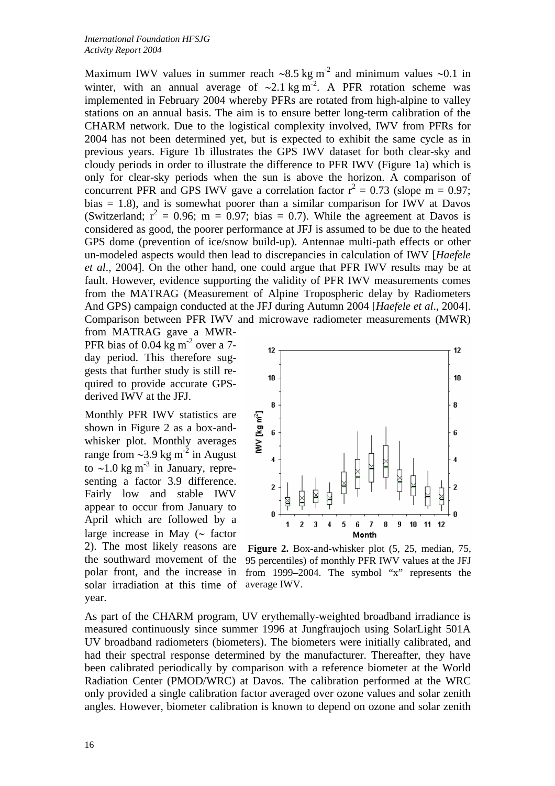Maximum IWV values in summer reach ~8.5 kg m<sup>-2</sup> and minimum values ~0.1 in winter, with an annual average of ~2.1 kg m<sup>-2</sup>. A PFR rotation scheme was implemented in February 2004 whereby PFRs are rotated from high-alpine to valley stations on an annual basis. The aim is to ensure better long-term calibration of the CHARM network. Due to the logistical complexity involved, IWV from PFRs for 2004 has not been determined yet, but is expected to exhibit the same cycle as in previous years. Figure 1b illustrates the GPS IWV dataset for both clear-sky and cloudy periods in order to illustrate the difference to PFR IWV (Figure 1a) which is only for clear-sky periods when the sun is above the horizon. A comparison of concurrent PFR and GPS IWV gave a correlation factor  $r^2 = 0.73$  (slope m = 0.97; bias  $= 1.8$ ), and is somewhat poorer than a similar comparison for IWV at Davos (Switzerland;  $r^2 = 0.96$ ; m = 0.97; bias = 0.7). While the agreement at Davos is considered as good, the poorer performance at JFJ is assumed to be due to the heated GPS dome (prevention of ice/snow build-up). Antennae multi-path effects or other un-modeled aspects would then lead to discrepancies in calculation of IWV [*Haefele et al*., 2004]. On the other hand, one could argue that PFR IWV results may be at fault. However, evidence supporting the validity of PFR IWV measurements comes from the MATRAG (Measurement of Alpine Tropospheric delay by Radiometers And GPS) campaign conducted at the JFJ during Autumn 2004 [*Haefele et al*., 2004]. Comparison between PFR IWV and microwave radiometer measurements (MWR)

from MATRAG gave a MWR-PFR bias of 0.04 kg  $m<sup>2</sup>$  over a 7day period. This therefore suggests that further study is still required to provide accurate GPSderived IWV at the JFJ.

Monthly PFR IWV statistics are shown in Figure 2 as a box-andwhisker plot. Monthly averages range from ∼3.9 kg m-2 in August to ~1.0 kg m<sup>-3</sup> in January, representing a factor 3.9 difference. Fairly low and stable IWV appear to occur from January to April which are followed by a large increase in May (∼ factor 2). The most likely reasons are the southward movement of the polar front, and the increase in solar irradiation at this time of year.



**Figure 2.** Box-and-whisker plot (5, 25, median, 75, 95 percentiles) of monthly PFR IWV values at the JFJ from 1999–2004. The symbol "x" represents the average IWV.

As part of the CHARM program, UV erythemally-weighted broadband irradiance is measured continuously since summer 1996 at Jungfraujoch using SolarLight 501A UV broadband radiometers (biometers). The biometers were initially calibrated, and had their spectral response determined by the manufacturer. Thereafter, they have been calibrated periodically by comparison with a reference biometer at the World Radiation Center (PMOD/WRC) at Davos. The calibration performed at the WRC only provided a single calibration factor averaged over ozone values and solar zenith angles. However, biometer calibration is known to depend on ozone and solar zenith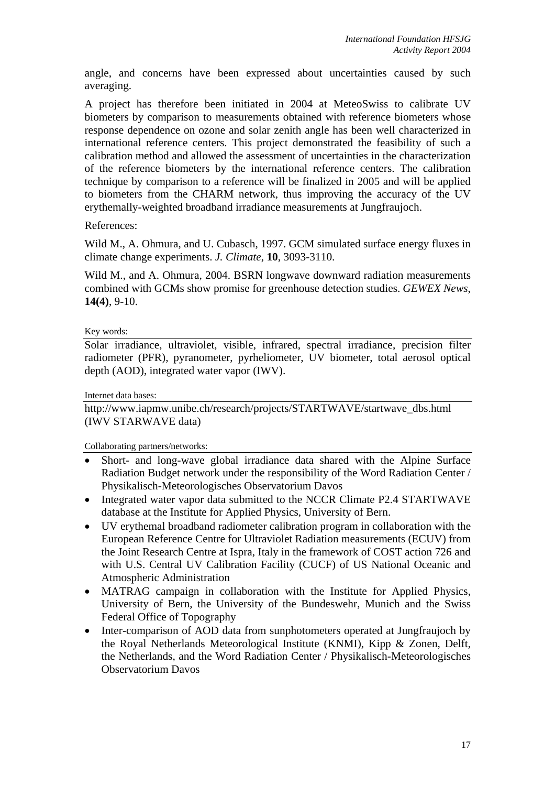angle, and concerns have been expressed about uncertainties caused by such averaging.

A project has therefore been initiated in 2004 at MeteoSwiss to calibrate UV biometers by comparison to measurements obtained with reference biometers whose response dependence on ozone and solar zenith angle has been well characterized in international reference centers. This project demonstrated the feasibility of such a calibration method and allowed the assessment of uncertainties in the characterization of the reference biometers by the international reference centers. The calibration technique by comparison to a reference will be finalized in 2005 and will be applied to biometers from the CHARM network, thus improving the accuracy of the UV erythemally-weighted broadband irradiance measurements at Jungfraujoch.

### References:

Wild M., A. Ohmura, and U. Cubasch, 1997. GCM simulated surface energy fluxes in climate change experiments. *J. Climate*, **10**, 3093-3110.

Wild M., and A. Ohmura, 2004. BSRN longwave downward radiation measurements combined with GCMs show promise for greenhouse detection studies. *GEWEX News*, **14(4)**, 9-10.

#### Key words:

Solar irradiance, ultraviolet, visible, infrared, spectral irradiance, precision filter radiometer (PFR), pyranometer, pyrheliometer, UV biometer, total aerosol optical depth (AOD), integrated water vapor (IWV).

Internet data bases:

http://www.iapmw.unibe.ch/research/projects/STARTWAVE/startwave\_dbs.html (IWV STARWAVE data)

Collaborating partners/networks:

- Short- and long-wave global irradiance data shared with the Alpine Surface Radiation Budget network under the responsibility of the Word Radiation Center / Physikalisch-Meteorologisches Observatorium Davos
- Integrated water vapor data submitted to the NCCR Climate P2.4 STARTWAVE database at the Institute for Applied Physics, University of Bern.
- UV erythemal broadband radiometer calibration program in collaboration with the European Reference Centre for Ultraviolet Radiation measurements (ECUV) from the Joint Research Centre at Ispra, Italy in the framework of COST action 726 and with U.S. Central UV Calibration Facility (CUCF) of US National Oceanic and Atmospheric Administration
- MATRAG campaign in collaboration with the Institute for Applied Physics, University of Bern, the University of the Bundeswehr, Munich and the Swiss Federal Office of Topography
- Inter-comparison of AOD data from sunphotometers operated at Jungfraujoch by the Royal Netherlands Meteorological Institute (KNMI), Kipp & Zonen, Delft, the Netherlands, and the Word Radiation Center / Physikalisch-Meteorologisches Observatorium Davos